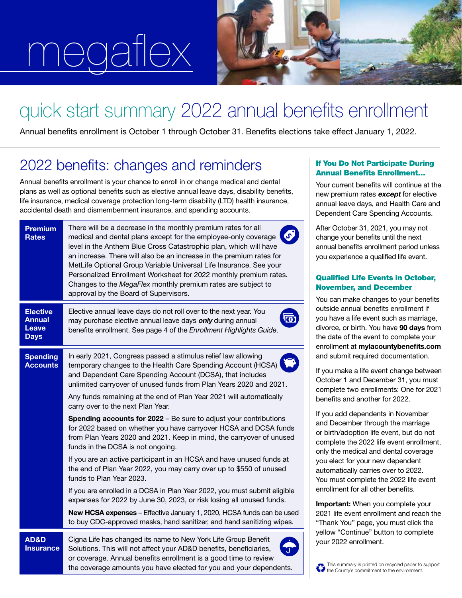# megaflex



## quick start summary 2022 annual benefits enrollment

Annual benefits enrollment is October 1 through October 31. Benefits elections take effect January 1, 2022.

### 2022 benefits: changes and reminders

Annual benefits enrollment is your chance to enroll in or change medical and dental plans as well as optional benefits such as elective annual leave days, disability benefits, life insurance, medical coverage protection long-term disability (LTD) health insurance, accidental death and dismemberment insurance, and spending accounts.

| <b>Premium</b><br><b>Rates</b>                                  | There will be a decrease in the monthly premium rates for all<br>medical and dental plans except for the employee-only coverage<br>level in the Anthem Blue Cross Catastrophic plan, which will have<br>an increase. There will also be an increase in the premium rates for<br>MetLife Optional Group Variable Universal Life Insurance. See your<br>Personalized Enrollment Worksheet for 2022 monthly premium rates.<br>Changes to the MegaFlex monthly premium rates are subject to<br>approval by the Board of Supervisors. |
|-----------------------------------------------------------------|----------------------------------------------------------------------------------------------------------------------------------------------------------------------------------------------------------------------------------------------------------------------------------------------------------------------------------------------------------------------------------------------------------------------------------------------------------------------------------------------------------------------------------|
| <b>Elective</b><br><b>Annual</b><br><b>Leave</b><br><b>Days</b> | Elective annual leave days do not roll over to the next year. You<br>may purchase elective annual leave days only during annual<br>benefits enrollment. See page 4 of the Enrollment Highlights Guide.                                                                                                                                                                                                                                                                                                                           |
| <b>Spending</b><br><b>Accounts</b>                              | In early 2021, Congress passed a stimulus relief law allowing<br>temporary changes to the Health Care Spending Account (HCSA)<br>and Dependent Care Spending Account (DCSA), that includes<br>unlimited carryover of unused funds from Plan Years 2020 and 2021.                                                                                                                                                                                                                                                                 |
|                                                                 | Any funds remaining at the end of Plan Year 2021 will automatically<br>carry over to the next Plan Year.                                                                                                                                                                                                                                                                                                                                                                                                                         |
|                                                                 | <b>Spending accounts for 2022</b> – Be sure to adjust your contributions<br>for 2022 based on whether you have carryover HCSA and DCSA funds<br>from Plan Years 2020 and 2021. Keep in mind, the carryover of unused<br>funds in the DCSA is not ongoing.                                                                                                                                                                                                                                                                        |
|                                                                 | If you are an active participant in an HCSA and have unused funds at<br>the end of Plan Year 2022, you may carry over up to \$550 of unused<br>funds to Plan Year 2023.                                                                                                                                                                                                                                                                                                                                                          |
|                                                                 | If you are enrolled in a DCSA in Plan Year 2022, you must submit eligible<br>expenses for 2022 by June 30, 2023, or risk losing all unused funds.                                                                                                                                                                                                                                                                                                                                                                                |
|                                                                 | New HCSA expenses - Effective January 1, 2020, HCSA funds can be used<br>to buy CDC-approved masks, hand sanitizer, and hand sanitizing wipes.                                                                                                                                                                                                                                                                                                                                                                                   |
| <b>AD&amp;D</b><br><b>Insurance</b>                             | Cigna Life has changed its name to New York Life Group Benefit<br>Solutions. This will not affect your AD&D benefits, beneficiaries,<br>or coverage. Annual benefits enrollment is a good time to review<br>the coverage amounts you have elected for you and your dependents.                                                                                                                                                                                                                                                   |

### If You Do Not Participate During Annual Benefits Enrollment…

Your current benefits will continue at the new premium rates except for elective annual leave days, and Health Care and Dependent Care Spending Accounts.

After October 31, 2021, you may not change your benefits until the next annual benefits enrollment period unless you experience a qualified life event.

### Qualified Life Events in October, November, and December

You can make changes to your benefits outside annual benefits enrollment if you have a life event such as marriage, divorce, or birth. You have 90 days from the date of the event to complete your enrollment at mylacountybenefits.com and submit required documentation.

If you make a life event change between October 1 and December 31, you must complete two enrollments: One for 2021 benefits and another for 2022.

If you add dependents in November and December through the marriage or birth/adoption life event, but do not complete the 2022 life event enrollment, only the medical and dental coverage you elect for your new dependent automatically carries over to 2022. You must complete the 2022 life event enrollment for all other benefits.

Important: When you complete your 2021 life event enrollment and reach the "Thank You" page, you must click the yellow "Continue" button to complete your 2022 enrollment.